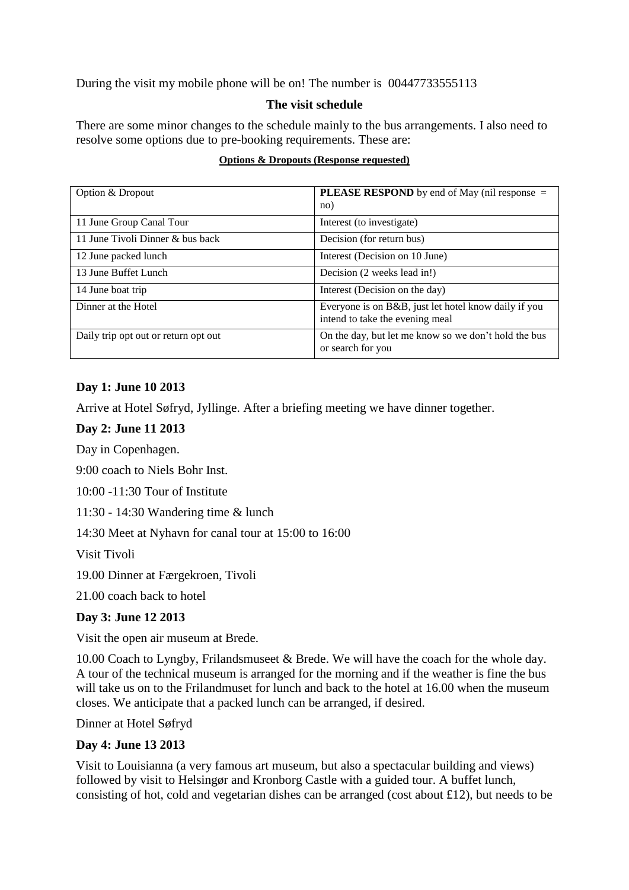During the visit my mobile phone will be on! The number is 00447733555113

# **The visit schedule**

There are some minor changes to the schedule mainly to the bus arrangements. I also need to resolve some options due to pre-booking requirements. These are:

#### **Options & Dropouts (Response requested)**

| Option & Dropout                     | <b>PLEASE RESPOND</b> by end of May (nil response =<br>no)                              |
|--------------------------------------|-----------------------------------------------------------------------------------------|
| 11 June Group Canal Tour             | Interest (to investigate)                                                               |
| 11 June Tivoli Dinner & bus back     | Decision (for return bus)                                                               |
| 12 June packed lunch                 | Interest (Decision on 10 June)                                                          |
| 13 June Buffet Lunch                 | Decision (2 weeks lead in!)                                                             |
| 14 June boat trip                    | Interest (Decision on the day)                                                          |
| Dinner at the Hotel                  | Everyone is on B&B, just let hotel know daily if you<br>intend to take the evening meal |
| Daily trip opt out or return opt out | On the day, but let me know so we don't hold the bus<br>or search for you               |

### **Day 1: June 10 2013**

Arrive at Hotel Søfryd, Jyllinge. After a briefing meeting we have dinner together.

### **Day 2: June 11 2013**

Day in Copenhagen.

9:00 coach to Niels Bohr Inst.

10:00 -11:30 Tour of Institute

11:30 - 14:30 Wandering time & lunch

14:30 Meet at Nyhavn for canal tour at 15:00 to 16:00

Visit Tivoli

19.00 Dinner at Færgekroen, Tivoli

21.00 coach back to hotel

### **Day 3: June 12 2013**

Visit the open air museum at Brede.

10.00 Coach to Lyngby, Frilandsmuseet & Brede. We will have the coach for the whole day. A tour of the technical museum is arranged for the morning and if the weather is fine the bus will take us on to the Frilandmuset for lunch and back to the hotel at 16.00 when the museum closes. We anticipate that a packed lunch can be arranged, if desired.

Dinner at Hotel Søfryd

### **Day 4: June 13 2013**

Visit to Louisianna (a very famous art museum, but also a spectacular building and views) followed by visit to Helsingør and Kronborg Castle with a guided tour. A buffet lunch, consisting of hot, cold and vegetarian dishes can be arranged (cost about £12), but needs to be